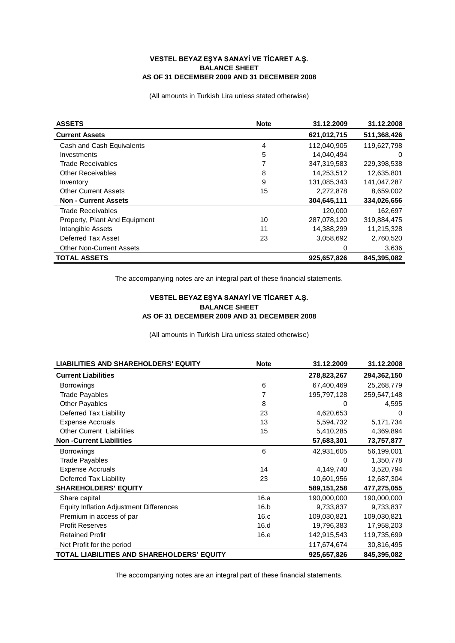## **VESTEL BEYAZ EŞYA SANAYİ VE TİCARET A.Ş. BALANCE SHEET AS OF 31 DECEMBER 2009 AND 31 DECEMBER 2008**

(All amounts in Turkish Lira unless stated otherwise)

| <b>ASSETS</b>                   | <b>Note</b> | 31.12.2009  | 31.12.2008  |
|---------------------------------|-------------|-------------|-------------|
| <b>Current Assets</b>           |             | 621,012,715 | 511,368,426 |
| Cash and Cash Equivalents       | 4           | 112,040,905 | 119,627,798 |
| Investments                     | 5           | 14,040,494  | $\Omega$    |
| <b>Trade Receivables</b>        | 7           | 347,319,583 | 229,398,538 |
| <b>Other Receivables</b>        | 8           | 14,253,512  | 12,635,801  |
| Inventory                       | 9           | 131,085,343 | 141,047,287 |
| <b>Other Current Assets</b>     | 15          | 2,272,878   | 8,659,002   |
| <b>Non - Current Assets</b>     |             | 304.645.111 | 334,026,656 |
| <b>Trade Receivables</b>        |             | 120,000     | 162,697     |
| Property, Plant And Equipment   | 10          | 287,078,120 | 319,884,475 |
| Intangible Assets               | 11          | 14,388,299  | 11,215,328  |
| Deferred Tax Asset              | 23          | 3,058,692   | 2,760,520   |
| <b>Other Non-Current Assets</b> |             | 0           | 3,636       |
| <b>TOTAL ASSETS</b>             |             | 925,657,826 | 845,395,082 |

The accompanying notes are an integral part of these financial statements.

## **VESTEL BEYAZ EŞYA SANAYİ VE TİCARET A.Ş. BALANCE SHEET AS OF 31 DECEMBER 2009 AND 31 DECEMBER 2008**

(All amounts in Turkish Lira unless stated otherwise)

| <b>LIABILITIES AND SHAREHOLDERS' EQUITY</b>    | <b>Note</b> | 31.12.2009  | 31.12.2008  |
|------------------------------------------------|-------------|-------------|-------------|
| <b>Current Liabilities</b>                     |             | 278,823,267 | 294,362,150 |
| <b>Borrowings</b>                              | 6           | 67,400,469  | 25,268,779  |
| <b>Trade Payables</b>                          |             | 195,797,128 | 259,547,148 |
| <b>Other Payables</b>                          | 8           | 0           | 4,595       |
| Deferred Tax Liability                         | 23          | 4,620,653   | 0           |
| <b>Expense Accruals</b>                        | 13          | 5,594,732   | 5,171,734   |
| <b>Other Current Liabilities</b>               | 15          | 5,410,285   | 4,369,894   |
| <b>Non-Current Liabilities</b>                 |             | 57,683,301  | 73,757,877  |
| <b>Borrowings</b>                              | 6           | 42,931,605  | 56,199,001  |
| <b>Trade Payables</b>                          |             | 0           | 1,350,778   |
| <b>Expense Accruals</b>                        | 14          | 4,149,740   | 3,520,794   |
| Deferred Tax Liability                         | 23          | 10,601,956  | 12,687,304  |
| <b>SHAREHOLDERS' EQUITY</b>                    |             | 589,151,258 | 477,275,055 |
| Share capital                                  | 16.a        | 190,000,000 | 190,000,000 |
| <b>Equity Inflation Adjustment Differences</b> | 16.b        | 9,733,837   | 9,733,837   |
| Premium in access of par                       | 16.c        | 109,030,821 | 109,030,821 |
| <b>Profit Reserves</b>                         | 16.d        | 19,796,383  | 17,958,203  |
| <b>Retained Profit</b>                         | 16.e        | 142,915,543 | 119,735,699 |
| Net Profit for the period                      |             | 117,674,674 | 30,816,495  |
| TOTAL LIABILITIES AND SHAREHOLDERS' EQUITY     |             | 925,657,826 | 845,395,082 |

The accompanying notes are an integral part of these financial statements.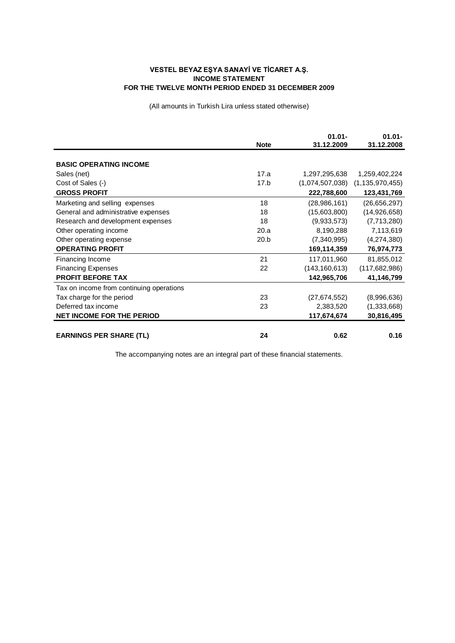## **VESTEL BEYAZ EŞYA SANAYİ VE TİCARET A.Ş. INCOME STATEMENT FOR THE TWELVE MONTH PERIOD ENDED 31 DECEMBER 2009**

(All amounts in Turkish Lira unless stated otherwise)

|                                          |             | $01.01 -$       | $01.01 -$          |
|------------------------------------------|-------------|-----------------|--------------------|
|                                          | <b>Note</b> | 31.12.2009      | 31.12.2008         |
|                                          |             |                 |                    |
| <b>BASIC OPERATING INCOME</b>            |             |                 |                    |
| Sales (net)                              | 17.a        | 1,297,295,638   | 1,259,402,224      |
| Cost of Sales (-)                        | 17.b        | (1,074,507,038) | (1, 135, 970, 455) |
| <b>GROSS PROFIT</b>                      |             | 222,788,600     | 123,431,769        |
| Marketing and selling expenses           | 18          | (28, 986, 161)  | (26,656,297)       |
| General and administrative expenses      | 18          | (15,603,800)    | (14,926,658)       |
| Research and development expenses        | 18          | (9,933,573)     | (7,713,280)        |
| Other operating income                   | 20.a        | 8,190,288       | 7,113,619          |
| Other operating expense                  | 20.b        | (7,340,995)     | (4,274,380)        |
| <b>OPERATING PROFIT</b>                  |             | 169,114,359     | 76,974,773         |
| Financing Income                         | 21          | 117,011,960     | 81,855,012         |
| <b>Financing Expenses</b>                | 22          | (143, 160, 613) | (117, 682, 986)    |
| <b>PROFIT BEFORE TAX</b>                 |             | 142,965,706     | 41,146,799         |
| Tax on income from continuing operations |             |                 |                    |
| Tax charge for the period                | 23          | (27, 674, 552)  | (8,996,636)        |
| Deferred tax income                      | 23          | 2,383,520       | (1,333,668)        |
| <b>NET INCOME FOR THE PERIOD</b>         |             | 117,674,674     | 30,816,495         |
|                                          |             |                 |                    |
| <b>EARNINGS PER SHARE (TL)</b>           | 24          | 0.62            | 0.16               |

The accompanying notes are an integral part of these financial statements.